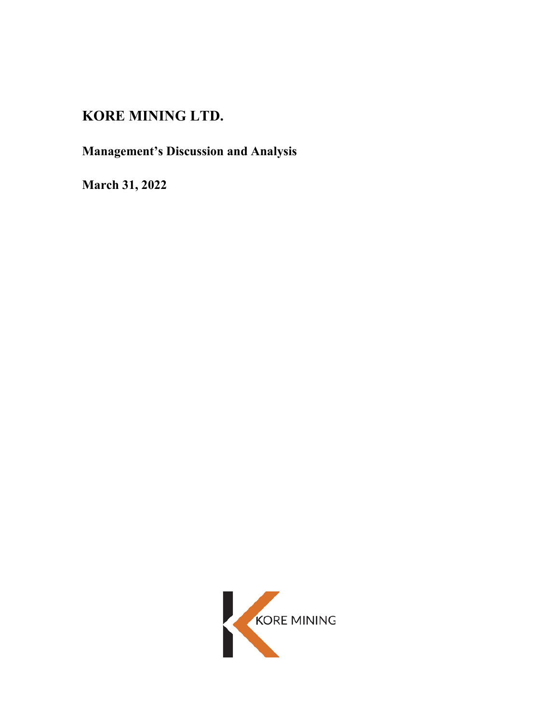## **KORE MINING LTD.**

# **Management's Discussion and Analysis**

**March 31, 2022**

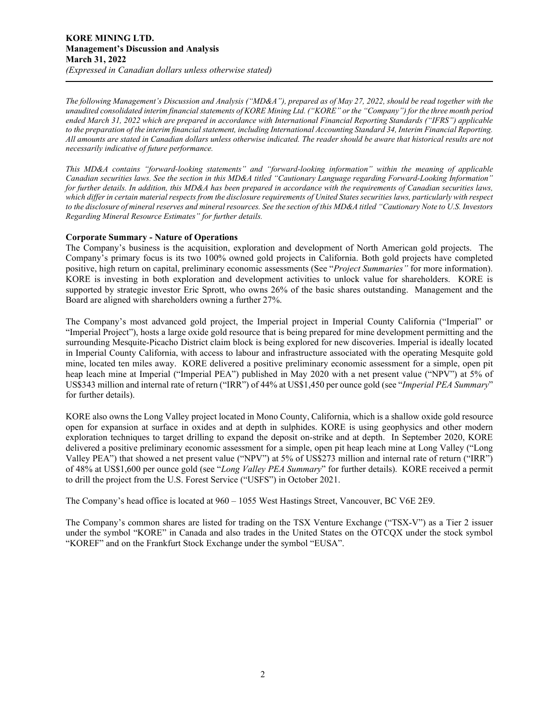*The following Management's Discussion and Analysis ("MD&A"), prepared as of May 27, 2022, should be read together with the unaudited consolidated interim financial statements of KORE Mining Ltd. ("KORE" or the "Company") for the three month period ended March 31, 2022 which are prepared in accordance with International Financial Reporting Standards ("IFRS") applicable to the preparation of the interim financial statement, including International Accounting Standard 34, Interim Financial Reporting. All amounts are stated in Canadian dollars unless otherwise indicated. The reader should be aware that historical results are not necessarily indicative of future performance.*

*This MD&A contains "forward-looking statements" and "forward-looking information" within the meaning of applicable Canadian securities laws. See the section in this MD&A titled "Cautionary Language regarding Forward-Looking Information" for further details. In addition, this MD&A has been prepared in accordance with the requirements of Canadian securities laws, which differ in certain material respects from the disclosure requirements of United States securities laws, particularly with respect to the disclosure of mineral reserves and mineral resources. See the section of this MD&A titled "Cautionary Note to U.S. Investors Regarding Mineral Resource Estimates" for further details.*

#### **Corporate Summary - Nature of Operations**

The Company's business is the acquisition, exploration and development of North American gold projects. The Company's primary focus is its two 100% owned gold projects in California. Both gold projects have completed positive, high return on capital, preliminary economic assessments (See "*Project Summaries"* for more information). KORE is investing in both exploration and development activities to unlock value for shareholders. KORE is supported by strategic investor Eric Sprott, who owns 26% of the basic shares outstanding. Management and the Board are aligned with shareholders owning a further 27%.

The Company's most advanced gold project, the Imperial project in Imperial County California ("Imperial" or "Imperial Project"), hosts a large oxide gold resource that is being prepared for mine development permitting and the surrounding Mesquite-Picacho District claim block is being explored for new discoveries. Imperial is ideally located in Imperial County California, with access to labour and infrastructure associated with the operating Mesquite gold mine, located ten miles away. KORE delivered a positive preliminary economic assessment for a simple, open pit heap leach mine at Imperial ("Imperial PEA") published in May 2020 with a net present value ("NPV") at 5% of US\$343 million and internal rate of return ("IRR") of 44% at US\$1,450 per ounce gold (see "*Imperial PEA Summary*" for further details).

KORE also owns the Long Valley project located in Mono County, California, which is a shallow oxide gold resource open for expansion at surface in oxides and at depth in sulphides. KORE is using geophysics and other modern exploration techniques to target drilling to expand the deposit on-strike and at depth. In September 2020, KORE delivered a positive preliminary economic assessment for a simple, open pit heap leach mine at Long Valley ("Long Valley PEA") that showed a net present value ("NPV") at 5% of US\$273 million and internal rate of return ("IRR") of 48% at US\$1,600 per ounce gold (see "*Long Valley PEA Summary*" for further details). KORE received a permit to drill the project from the U.S. Forest Service ("USFS") in October 2021.

The Company's head office is located at 960 – 1055 West Hastings Street, Vancouver, BC V6E 2E9.

The Company's common shares are listed for trading on the TSX Venture Exchange ("TSX-V") as a Tier 2 issuer under the symbol "KORE" in Canada and also trades in the United States on the OTCQX under the stock symbol "KOREF" and on the Frankfurt Stock Exchange under the symbol "EUSA".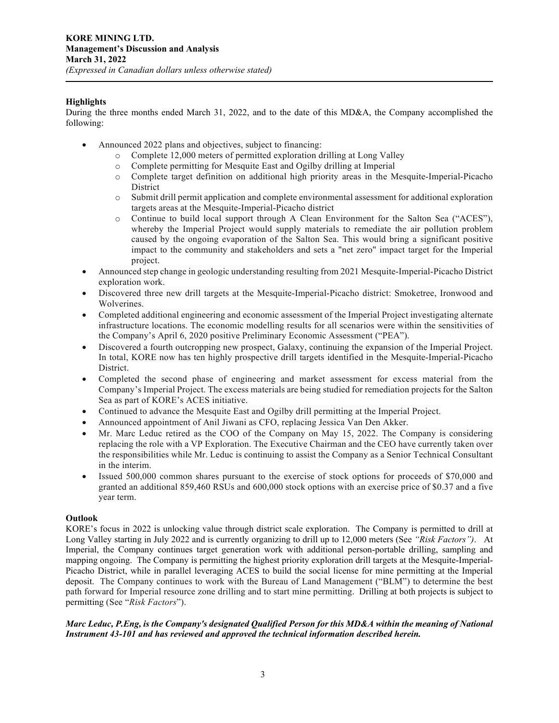## **Highlights**

During the three months ended March 31, 2022, and to the date of this MD&A, the Company accomplished the following:

- Announced 2022 plans and objectives, subject to financing:
	- o Complete 12,000 meters of permitted exploration drilling at Long Valley
	- o Complete permitting for Mesquite East and Ogilby drilling at Imperial
	- Complete target definition on additional high priority areas in the Mesquite-Imperial-Picacho District
	- o Submit drill permit application and complete environmental assessment for additional exploration targets areas at the Mesquite-Imperial-Picacho district
	- o Continue to build local support through A Clean Environment for the Salton Sea ("ACES"), whereby the Imperial Project would supply materials to remediate the air pollution problem caused by the ongoing evaporation of the Salton Sea. This would bring a significant positive impact to the community and stakeholders and sets a "net zero" impact target for the Imperial project.
- Announced step change in geologic understanding resulting from 2021 Mesquite-Imperial-Picacho District exploration work.
- Discovered three new drill targets at the Mesquite-Imperial-Picacho district: Smoketree, Ironwood and Wolverines.
- Completed additional engineering and economic assessment of the Imperial Project investigating alternate infrastructure locations. The economic modelling results for all scenarios were within the sensitivities of the Company's April 6, 2020 positive Preliminary Economic Assessment ("PEA").
- Discovered a fourth outcropping new prospect, Galaxy, continuing the expansion of the Imperial Project. In total, KORE now has ten highly prospective drill targets identified in the Mesquite-Imperial-Picacho District.
- Completed the second phase of engineering and market assessment for excess material from the Company's Imperial Project. The excess materials are being studied for remediation projects for the Salton Sea as part of KORE's ACES initiative.
- Continued to advance the Mesquite East and Ogilby drill permitting at the Imperial Project.
- Announced appointment of Anil Jiwani as CFO, replacing Jessica Van Den Akker.
- Mr. Marc Leduc retired as the COO of the Company on May 15, 2022. The Company is considering replacing the role with a VP Exploration. The Executive Chairman and the CEO have currently taken over the responsibilities while Mr. Leduc is continuing to assist the Company as a Senior Technical Consultant in the interim.
- Issued 500,000 common shares pursuant to the exercise of stock options for proceeds of \$70,000 and granted an additional 859,460 RSUs and 600,000 stock options with an exercise price of \$0.37 and a five year term.

## **Outlook**

KORE's focus in 2022 is unlocking value through district scale exploration. The Company is permitted to drill at Long Valley starting in July 2022 and is currently organizing to drill up to 12,000 meters (See *"Risk Factors")*. At Imperial, the Company continues target generation work with additional person-portable drilling, sampling and mapping ongoing. The Company is permitting the highest priority exploration drill targets at the Mesquite-Imperial-Picacho District, while in parallel leveraging ACES to build the social license for mine permitting at the Imperial deposit. The Company continues to work with the Bureau of Land Management ("BLM") to determine the best path forward for Imperial resource zone drilling and to start mine permitting. Drilling at both projects is subject to permitting (See "*Risk Factors*").

## *Marc Leduc, P.Eng, is the Company's designated Qualified Person for this MD&A within the meaning of National Instrument 43-101 and has reviewed and approved the technical information described herein.*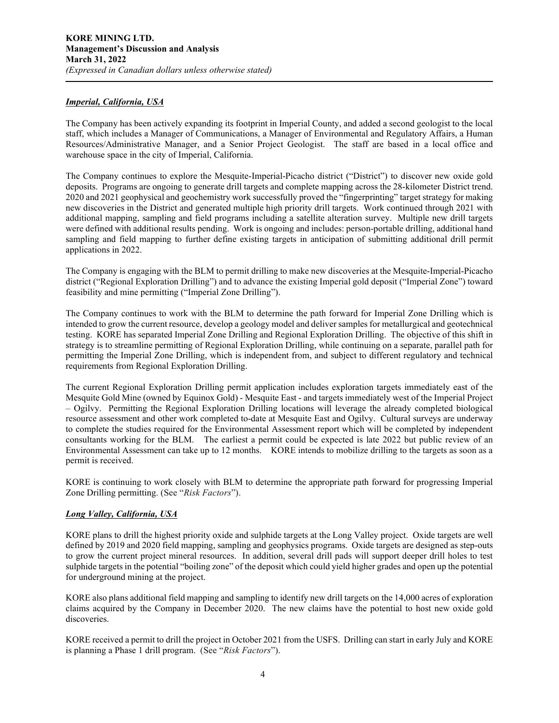#### *Imperial, California, USA*

The Company has been actively expanding its footprint in Imperial County, and added a second geologist to the local staff, which includes a Manager of Communications, a Manager of Environmental and Regulatory Affairs, a Human Resources/Administrative Manager, and a Senior Project Geologist. The staff are based in a local office and warehouse space in the city of Imperial, California.

The Company continues to explore the Mesquite-Imperial-Picacho district ("District") to discover new oxide gold deposits. Programs are ongoing to generate drill targets and complete mapping across the 28-kilometer District trend. 2020 and 2021 geophysical and geochemistry work successfully proved the "fingerprinting" target strategy for making new discoveries in the District and generated multiple high priority drill targets. Work continued through 2021 with additional mapping, sampling and field programs including a satellite alteration survey. Multiple new drill targets were defined with additional results pending. Work is ongoing and includes: person-portable drilling, additional hand sampling and field mapping to further define existing targets in anticipation of submitting additional drill permit applications in 2022.

The Company is engaging with the BLM to permit drilling to make new discoveries at the Mesquite-Imperial-Picacho district ("Regional Exploration Drilling") and to advance the existing Imperial gold deposit ("Imperial Zone") toward feasibility and mine permitting ("Imperial Zone Drilling").

The Company continues to work with the BLM to determine the path forward for Imperial Zone Drilling which is intended to grow the current resource, develop a geology model and deliver samples for metallurgical and geotechnical testing. KORE has separated Imperial Zone Drilling and Regional Exploration Drilling. The objective of this shift in strategy is to streamline permitting of Regional Exploration Drilling, while continuing on a separate, parallel path for permitting the Imperial Zone Drilling, which is independent from, and subject to different regulatory and technical requirements from Regional Exploration Drilling.

The current Regional Exploration Drilling permit application includes exploration targets immediately east of the Mesquite Gold Mine (owned by Equinox Gold) - Mesquite East - and targets immediately west of the Imperial Project – Ogilvy. Permitting the Regional Exploration Drilling locations will leverage the already completed biological resource assessment and other work completed to-date at Mesquite East and Ogilvy. Cultural surveys are underway to complete the studies required for the Environmental Assessment report which will be completed by independent consultants working for the BLM. The earliest a permit could be expected is late 2022 but public review of an Environmental Assessment can take up to 12 months. KORE intends to mobilize drilling to the targets as soon as a permit is received.

KORE is continuing to work closely with BLM to determine the appropriate path forward for progressing Imperial Zone Drilling permitting. (See "*Risk Factors*").

## *Long Valley, California, USA*

KORE plans to drill the highest priority oxide and sulphide targets at the Long Valley project. Oxide targets are well defined by 2019 and 2020 field mapping, sampling and geophysics programs. Oxide targets are designed as step-outs to grow the current project mineral resources. In addition, several drill pads will support deeper drill holes to test sulphide targets in the potential "boiling zone" of the deposit which could yield higher grades and open up the potential for underground mining at the project.

KORE also plans additional field mapping and sampling to identify new drill targets on the 14,000 acres of exploration claims acquired by the Company in December 2020. The new claims have the potential to host new oxide gold discoveries.

KORE received a permit to drill the project in October 2021 from the USFS. Drilling can start in early July and KORE is planning a Phase 1 drill program. (See "*Risk Factors*").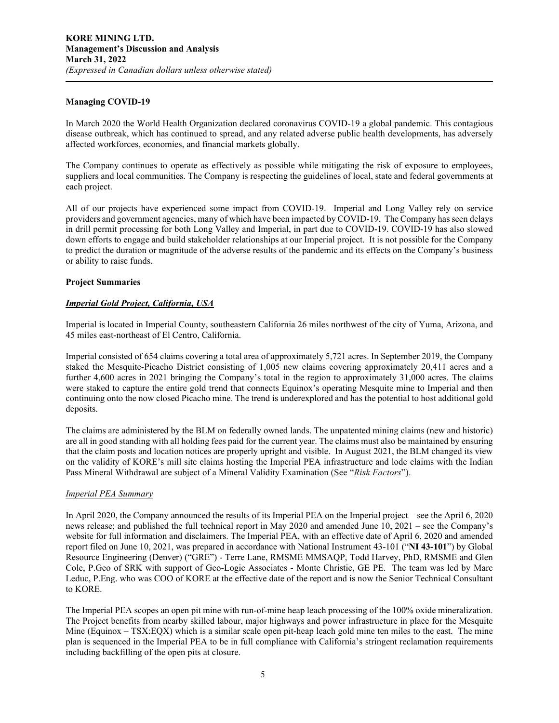#### **Managing COVID-19**

In March 2020 the World Health Organization declared coronavirus COVID-19 a global pandemic. This contagious disease outbreak, which has continued to spread, and any related adverse public health developments, has adversely affected workforces, economies, and financial markets globally.

The Company continues to operate as effectively as possible while mitigating the risk of exposure to employees, suppliers and local communities. The Company is respecting the guidelines of local, state and federal governments at each project.

All of our projects have experienced some impact from COVID-19. Imperial and Long Valley rely on service providers and government agencies, many of which have been impacted by COVID-19. The Company has seen delays in drill permit processing for both Long Valley and Imperial, in part due to COVID-19. COVID-19 has also slowed down efforts to engage and build stakeholder relationships at our Imperial project. It is not possible for the Company to predict the duration or magnitude of the adverse results of the pandemic and its effects on the Company's business or ability to raise funds.

#### **Project Summaries**

#### *Imperial Gold Project, California, USA*

Imperial is located in Imperial County, southeastern California 26 miles northwest of the city of Yuma, Arizona, and 45 miles east-northeast of El Centro, California.

Imperial consisted of 654 claims covering a total area of approximately 5,721 acres. In September 2019, the Company staked the Mesquite-Picacho District consisting of 1,005 new claims covering approximately 20,411 acres and a further 4,600 acres in 2021 bringing the Company's total in the region to approximately 31,000 acres. The claims were staked to capture the entire gold trend that connects Equinox's operating Mesquite mine to Imperial and then continuing onto the now closed Picacho mine. The trend is underexplored and has the potential to host additional gold deposits.

The claims are administered by the BLM on federally owned lands. The unpatented mining claims (new and historic) are all in good standing with all holding fees paid for the current year. The claims must also be maintained by ensuring that the claim posts and location notices are properly upright and visible. In August 2021, the BLM changed its view on the validity of KORE's mill site claims hosting the Imperial PEA infrastructure and lode claims with the Indian Pass Mineral Withdrawal are subject of a Mineral Validity Examination (See "*Risk Factors*").

#### *Imperial PEA Summary*

In April 2020, the Company announced the results of its Imperial PEA on the Imperial project – see the April 6, 2020 news release; and published the full technical report in May 2020 and amended June 10, 2021 – see the Company's website for full information and disclaimers. The Imperial PEA, with an effective date of April 6, 2020 and amended report filed on June 10, 2021, was prepared in accordance with National Instrument 43-101 ("**NI 43-101**") by Global Resource Engineering (Denver) ("GRE") - Terre Lane, RMSME MMSAQP, Todd Harvey, PhD, RMSME and Glen Cole, P.Geo of SRK with support of Geo-Logic Associates - Monte Christie, GE PE. The team was led by Marc Leduc, P.Eng. who was COO of KORE at the effective date of the report and is now the Senior Technical Consultant to KORE.

The Imperial PEA scopes an open pit mine with run-of-mine heap leach processing of the 100% oxide mineralization. The Project benefits from nearby skilled labour, major highways and power infrastructure in place for the Mesquite Mine (Equinox – TSX:EQX) which is a similar scale open pit-heap leach gold mine ten miles to the east. The mine plan is sequenced in the Imperial PEA to be in full compliance with California's stringent reclamation requirements including backfilling of the open pits at closure.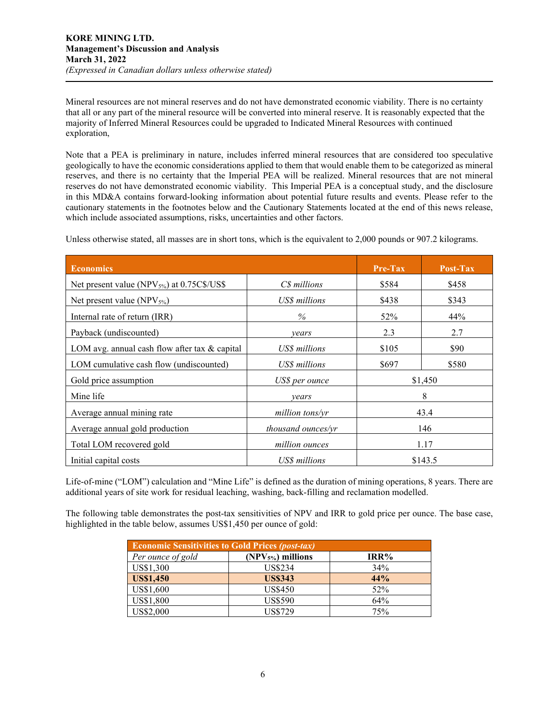Mineral resources are not mineral reserves and do not have demonstrated economic viability. There is no certainty that all or any part of the mineral resource will be converted into mineral reserve. It is reasonably expected that the majority of Inferred Mineral Resources could be upgraded to Indicated Mineral Resources with continued exploration,

Note that a PEA is preliminary in nature, includes inferred mineral resources that are considered too speculative geologically to have the economic considerations applied to them that would enable them to be categorized as mineral reserves, and there is no certainty that the Imperial PEA will be realized. Mineral resources that are not mineral reserves do not have demonstrated economic viability. This Imperial PEA is a conceptual study, and the disclosure in this MD&A contains forward-looking information about potential future results and events. Please refer to the cautionary statements in the footnotes below and the Cautionary Statements located at the end of this news release, which include associated assumptions, risks, uncertainties and other factors.

Unless otherwise stated, all masses are in short tons, which is the equivalent to 2,000 pounds or 907.2 kilograms.

| <b>Economics</b>                                  |                    | <b>Pre-Tax</b> | Post-Tax |  |
|---------------------------------------------------|--------------------|----------------|----------|--|
| Net present value (NPV $_{5\%}$ ) at 0.75C\$/US\$ | C\$ millions       | \$584          | \$458    |  |
| Net present value (NPV <sub>5%</sub> )            | US\$ millions      | \$438          | \$343    |  |
| Internal rate of return (IRR)                     | $\%$               | 52%            | 44%      |  |
| Payback (undiscounted)                            | years              | 2.3            | 2.7      |  |
| LOM avg. annual cash flow after tax & capital     | US\$ millions      | \$105          | \$90     |  |
| LOM cumulative cash flow (undiscounted)           | US\$ millions      | \$697          | \$580    |  |
| Gold price assumption                             | US\$ per ounce     | \$1,450        |          |  |
| Mine life                                         | vears              | 8              |          |  |
| Average annual mining rate                        | million tons/yr    | 43.4           |          |  |
| Average annual gold production                    | thousand ounces/yr | 146            |          |  |
| Total LOM recovered gold                          | million ounces     | 1.17           |          |  |
| Initial capital costs                             | US\$ millions      | \$143.5        |          |  |

Life-of-mine ("LOM") calculation and "Mine Life" is defined as the duration of mining operations, 8 years. There are additional years of site work for residual leaching, washing, back-filling and reclamation modelled.

The following table demonstrates the post-tax sensitivities of NPV and IRR to gold price per ounce. The base case, highlighted in the table below, assumes US\$1,450 per ounce of gold:

| <b>Economic Sensitivities to Gold Prices (post-tax)</b> |                    |      |  |  |  |  |
|---------------------------------------------------------|--------------------|------|--|--|--|--|
| Per ounce of gold                                       | $(NPV5%)$ millions | IRR% |  |  |  |  |
| US\$1,300                                               | <b>US\$234</b>     | 34%  |  |  |  |  |
| <b>US\$1,450</b>                                        | <b>US\$343</b>     | 44%  |  |  |  |  |
| US\$1,600                                               | <b>US\$450</b>     | 52%  |  |  |  |  |
| US\$1,800                                               | <b>US\$590</b>     | 64%  |  |  |  |  |
| US\$2,000                                               | <b>US\$729</b>     | 75%  |  |  |  |  |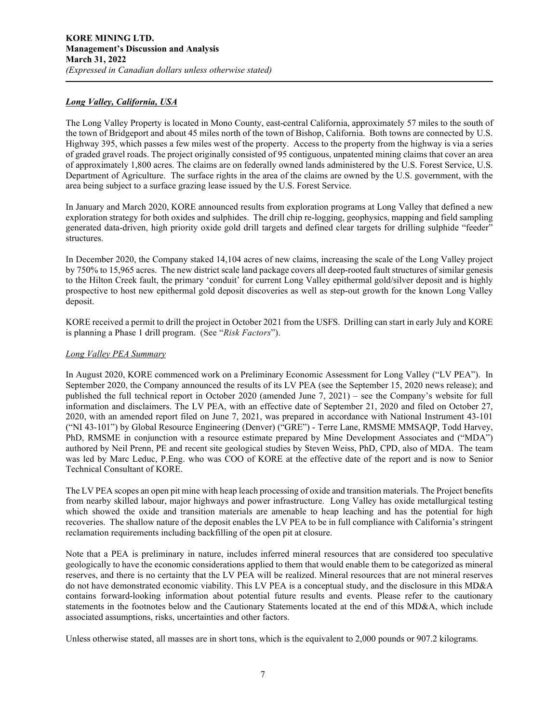#### *Long Valley, California, USA*

The Long Valley Property is located in Mono County, east-central California, approximately 57 miles to the south of the town of Bridgeport and about 45 miles north of the town of Bishop, California. Both towns are connected by U.S. Highway 395, which passes a few miles west of the property. Access to the property from the highway is via a series of graded gravel roads. The project originally consisted of 95 contiguous, unpatented mining claims that cover an area of approximately 1,800 acres. The claims are on federally owned lands administered by the U.S. Forest Service, U.S. Department of Agriculture. The surface rights in the area of the claims are owned by the U.S. government, with the area being subject to a surface grazing lease issued by the U.S. Forest Service.

In January and March 2020, KORE announced results from exploration programs at Long Valley that defined a new exploration strategy for both oxides and sulphides. The drill chip re-logging, geophysics, mapping and field sampling generated data-driven, high priority oxide gold drill targets and defined clear targets for drilling sulphide "feeder" structures.

In December 2020, the Company staked 14,104 acres of new claims, increasing the scale of the Long Valley project by 750% to 15,965 acres. The new district scale land package covers all deep-rooted fault structures of similar genesis to the Hilton Creek fault, the primary 'conduit' for current Long Valley epithermal gold/silver deposit and is highly prospective to host new epithermal gold deposit discoveries as well as step-out growth for the known Long Valley deposit.

KORE received a permit to drill the project in October 2021 from the USFS. Drilling can start in early July and KORE is planning a Phase 1 drill program. (See "*Risk Factors*").

#### *Long Valley PEA Summary*

In August 2020, KORE commenced work on a Preliminary Economic Assessment for Long Valley ("LV PEA"). In September 2020, the Company announced the results of its LV PEA (see the September 15, 2020 news release); and published the full technical report in October 2020 (amended June 7, 2021) – see the Company's website for full information and disclaimers. The LV PEA, with an effective date of September 21, 2020 and filed on October 27, 2020, with an amended report filed on June 7, 2021, was prepared in accordance with National Instrument 43-101 ("NI 43-101") by Global Resource Engineering (Denver) ("GRE") - Terre Lane, RMSME MMSAQP, Todd Harvey, PhD, RMSME in conjunction with a resource estimate prepared by Mine Development Associates and ("MDA") authored by Neil Prenn, PE and recent site geological studies by Steven Weiss, PhD, CPD, also of MDA. The team was led by Marc Leduc, P.Eng. who was COO of KORE at the effective date of the report and is now to Senior Technical Consultant of KORE.

The LV PEA scopes an open pit mine with heap leach processing of oxide and transition materials. The Project benefits from nearby skilled labour, major highways and power infrastructure. Long Valley has oxide metallurgical testing which showed the oxide and transition materials are amenable to heap leaching and has the potential for high recoveries. The shallow nature of the deposit enables the LV PEA to be in full compliance with California's stringent reclamation requirements including backfilling of the open pit at closure.

Note that a PEA is preliminary in nature, includes inferred mineral resources that are considered too speculative geologically to have the economic considerations applied to them that would enable them to be categorized as mineral reserves, and there is no certainty that the LV PEA will be realized. Mineral resources that are not mineral reserves do not have demonstrated economic viability. This LV PEA is a conceptual study, and the disclosure in this MD&A contains forward-looking information about potential future results and events. Please refer to the cautionary statements in the footnotes below and the Cautionary Statements located at the end of this MD&A, which include associated assumptions, risks, uncertainties and other factors.

Unless otherwise stated, all masses are in short tons, which is the equivalent to 2,000 pounds or 907.2 kilograms.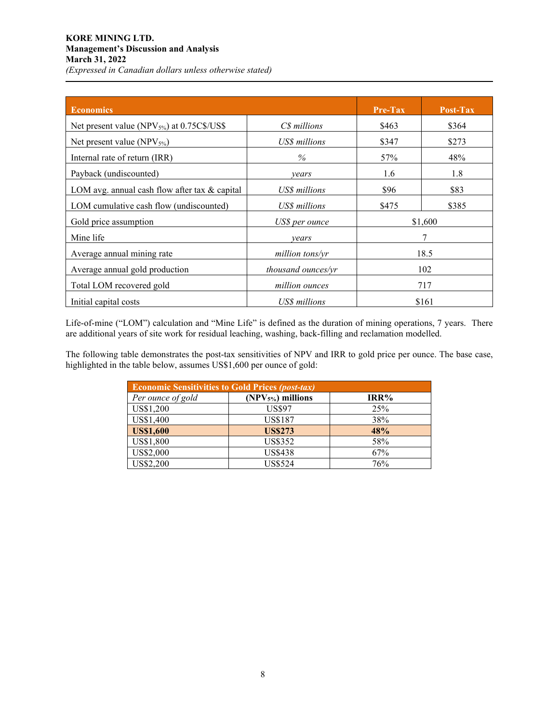## **KORE MINING LTD. Management's Discussion and Analysis March 31, 2022**  *(Expressed in Canadian dollars unless otherwise stated)*

| <b>Economics</b>                                       |                           | Pre-Tax | Post-Tax |  |
|--------------------------------------------------------|---------------------------|---------|----------|--|
| Net present value (NPV <sub>5%</sub> ) at 0.75C\$/US\$ | C\$ millions              | \$463   | \$364    |  |
| Net present value (NPV $_{5\%}$ )                      | US\$ millions             | \$347   | \$273    |  |
| Internal rate of return (IRR)                          | $\%$                      | 57%     | 48%      |  |
| Payback (undiscounted)                                 | vears                     | 1.6     | 1.8      |  |
| LOM avg. annual cash flow after tax & capital          | US\$ millions             | \$96    | \$83     |  |
| LOM cumulative cash flow (undiscounted)                | US\$ millions             | \$475   | \$385    |  |
| Gold price assumption                                  | US\$ per ounce            |         | \$1,600  |  |
| Mine life                                              | vears                     | 7       |          |  |
| Average annual mining rate                             | million tons/yr           | 18.5    |          |  |
| Average annual gold production                         | <i>thousand ounces/yr</i> | 102     |          |  |
| Total LOM recovered gold                               | million ounces            | 717     |          |  |
| Initial capital costs                                  | US\$ millions             | \$161   |          |  |

Life-of-mine ("LOM") calculation and "Mine Life" is defined as the duration of mining operations, 7 years. There are additional years of site work for residual leaching, washing, back-filling and reclamation modelled.

The following table demonstrates the post-tax sensitivities of NPV and IRR to gold price per ounce. The base case, highlighted in the table below, assumes US\$1,600 per ounce of gold:

| <b>Economic Sensitivities to Gold Prices (post-tax)</b> |                    |      |  |  |  |  |  |
|---------------------------------------------------------|--------------------|------|--|--|--|--|--|
| Per ounce of gold                                       | $(NPV5%)$ millions | IRR% |  |  |  |  |  |
| US\$1,200                                               | <b>US\$97</b>      | 25%  |  |  |  |  |  |
| US\$1,400                                               | <b>US\$187</b>     | 38%  |  |  |  |  |  |
| <b>US\$1,600</b>                                        | <b>US\$273</b>     | 48%  |  |  |  |  |  |
| US\$1,800                                               | <b>US\$352</b>     | 58%  |  |  |  |  |  |
| US\$2,000                                               | <b>US\$438</b>     | 67%  |  |  |  |  |  |
| US\$2,200                                               | <b>US\$524</b>     | 76%  |  |  |  |  |  |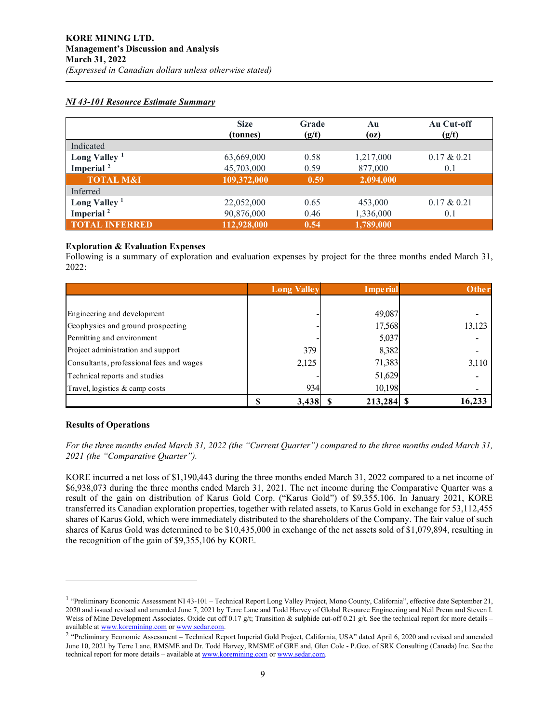## *NI 43-101 Resource Estimate Summary*

|                          | <b>Size</b><br>(tonnes) | Grade<br>(g/t) | Au<br>(oz) | Au Cut-off<br>(g/t) |
|--------------------------|-------------------------|----------------|------------|---------------------|
| Indicated                |                         |                |            |                     |
| Long Valley $1$          | 63,669,000              | 0.58           | 1,217,000  | $0.17 \& 0.21$      |
| Imperial <sup>2</sup>    | 45,703,000              | 0.59           | 877,000    | 0.1                 |
| <b>TOTAL M&amp;I</b>     | 109,372,000             | 0.59           | 2,094,000  |                     |
| Inferred                 |                         |                |            |                     |
| Long Valley <sup>1</sup> | 22,052,000              | 0.65           | 453,000    | $0.17 \& 0.21$      |
| Imperial <sup>2</sup>    | 90,876,000              | 0.46           | 1,336,000  | 0.1                 |
| <b>TOTAL INFERRED</b>    | 112,928,000             | 0.54           | 1,789,000  |                     |

## **Exploration & Evaluation Expenses**

Following is a summary of exploration and evaluation expenses by project for the three months ended March 31, 2022:

|                                          | <b>Long Valley</b> | <b>Imperial</b> | Other  |
|------------------------------------------|--------------------|-----------------|--------|
|                                          |                    |                 |        |
| Engineering and development              |                    | 49,087          |        |
| Geophysics and ground prospecting        |                    | 17,568          | 13,123 |
| Permitting and environment               |                    | 5,037           |        |
| Project administration and support       | 379                | 8,382           |        |
| Consultants, professional fees and wages | 2,125              | 71,383          | 3,110  |
| Technical reports and studies            |                    | 51,629          |        |
| Travel, logistics & camp costs           | 934                | 10,198          |        |
|                                          | 3,438              | $213,284$ \$    | 16,233 |

## **Results of Operations**

*For the three months ended March 31, 2022 (the "Current Quarter") compared to the three months ended March 31, 2021 (the "Comparative Quarter").*

KORE incurred a net loss of \$1,190,443 during the three months ended March 31, 2022 compared to a net income of \$6,938,073 during the three months ended March 31, 2021. The net income during the Comparative Quarter was a result of the gain on distribution of Karus Gold Corp. ("Karus Gold") of \$9,355,106. In January 2021, KORE transferred its Canadian exploration properties, together with related assets, to Karus Gold in exchange for 53,112,455 shares of Karus Gold, which were immediately distributed to the shareholders of the Company. The fair value of such shares of Karus Gold was determined to be \$10,435,000 in exchange of the net assets sold of \$1,079,894, resulting in the recognition of the gain of \$9,355,106 by KORE.

<span id="page-8-0"></span><sup>&</sup>lt;sup>1</sup> "Preliminary Economic Assessment NI 43-101 – Technical Report Long Valley Project, Mono County, California", effective date September 21, 2020 and issued revised and amended June 7, 2021 by Terre Lane and Todd Harvey of Global Resource Engineering and Neil Prenn and Steven I. Weiss of Mine Development Associates. Oxide cut off 0.17 g/t; Transition & sulphide cut-off 0.21 g/t. See the technical report for more details – available a[t www.koremining.com](http://www.koremining.com/) o[r www.sedar.com.](http://www.sedar.com/)

<span id="page-8-1"></span><sup>&</sup>lt;sup>2</sup> "Preliminary Economic Assessment – Technical Report Imperial Gold Project, California, USA" dated April 6, 2020 and revised and amended June 10, 2021 by Terre Lane, RMSME and Dr. Todd Harvey, RMSME of GRE and, Glen Cole - P.Geo. of SRK Consulting (Canada) Inc. See the technical report for more details – available a[t www.koremining.com](http://www.koremining.com/) or [www.sedar.com.](http://www.sedar.com/)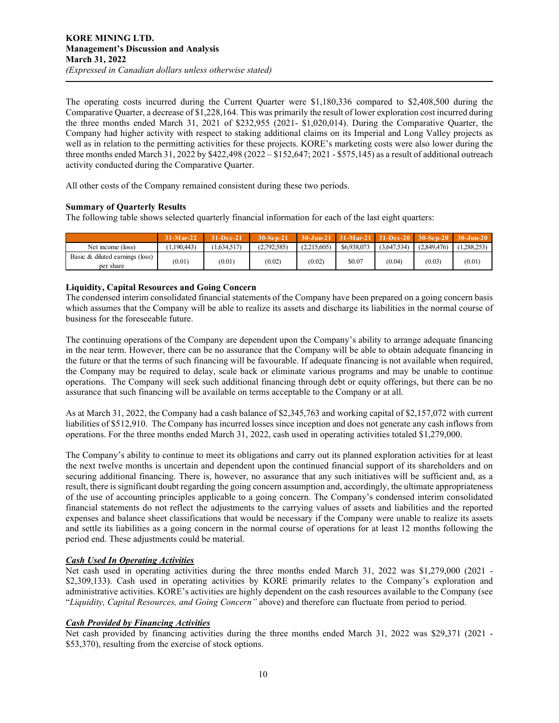The operating costs incurred during the Current Quarter were \$1,180,336 compared to \$2,408,500 during the Comparative Quarter, a decrease of \$1,228,164. This was primarily the result of lower exploration cost incurred during the three months ended March 31, 2021 of \$232,955 (2021- \$1,020,014). During the Comparative Quarter, the Company had higher activity with respect to staking additional claims on its Imperial and Long Valley projects as well as in relation to the permitting activities for these projects. KORE's marketing costs were also lower during the three months ended March 31, 2022 by \$422,498 (2022 – \$152,647; 2021 - \$575,145) as a result of additional outreach activity conducted during the Comparative Quarter.

All other costs of the Company remained consistent during these two periods.

#### **Summary of Quarterly Results**

The following table shows selected quarterly financial information for each of the last eight quarters:

|                                              | 31-Mar-22  | <b>31-Dec-21</b> | 30-Sep-21   |             | $30 - \text{Jun-21}$ $31 - \text{Mar-21}$ |             | $31-Pec-20$ 30-Sep-20 30-Jun-20 |            |
|----------------------------------------------|------------|------------------|-------------|-------------|-------------------------------------------|-------------|---------------------------------|------------|
| Net income (loss)                            | 1,190,443) | (1.634.517)      | (2,792,585) | (2.215.605) | \$6,938,073                               | (3.647.534) | (2.849.476)                     | 1.288.253) |
| Basic & diluted earnings (loss)<br>per share | (0.01)     | (0.01)           | (0.02)      | (0.02)      | \$0.07                                    | (0.04)      | (0.03)                          | (0.01)     |

#### **Liquidity, Capital Resources and Going Concern**

The condensed interim consolidated financial statements of the Company have been prepared on a going concern basis which assumes that the Company will be able to realize its assets and discharge its liabilities in the normal course of business for the foreseeable future.

The continuing operations of the Company are dependent upon the Company's ability to arrange adequate financing in the near term. However, there can be no assurance that the Company will be able to obtain adequate financing in the future or that the terms of such financing will be favourable. If adequate financing is not available when required, the Company may be required to delay, scale back or eliminate various programs and may be unable to continue operations. The Company will seek such additional financing through debt or equity offerings, but there can be no assurance that such financing will be available on terms acceptable to the Company or at all.

As at March 31, 2022, the Company had a cash balance of \$2,345,763 and working capital of \$2,157,072 with current liabilities of \$512,910. The Company has incurred losses since inception and does not generate any cash inflows from operations. For the three months ended March 31, 2022, cash used in operating activities totaled \$1,279,000.

The Company's ability to continue to meet its obligations and carry out its planned exploration activities for at least the next twelve months is uncertain and dependent upon the continued financial support of its shareholders and on securing additional financing. There is, however, no assurance that any such initiatives will be sufficient and, as a result, there is significant doubt regarding the going concern assumption and, accordingly, the ultimate appropriateness of the use of accounting principles applicable to a going concern. The Company's condensed interim consolidated financial statements do not reflect the adjustments to the carrying values of assets and liabilities and the reported expenses and balance sheet classifications that would be necessary if the Company were unable to realize its assets and settle its liabilities as a going concern in the normal course of operations for at least 12 months following the period end. These adjustments could be material.

## *Cash Used In Operating Activities*

Net cash used in operating activities during the three months ended March 31, 2022 was \$1,279,000 (2021 - \$2,309,133). Cash used in operating activities by KORE primarily relates to the Company's exploration and administrative activities. KORE's activities are highly dependent on the cash resources available to the Company (see "*Liquidity, Capital Resources, and Going Concern"* above) and therefore can fluctuate from period to period.

## *Cash Provided by Financing Activities*

Net cash provided by financing activities during the three months ended March 31, 2022 was \$29,371 (2021 - \$53,370), resulting from the exercise of stock options.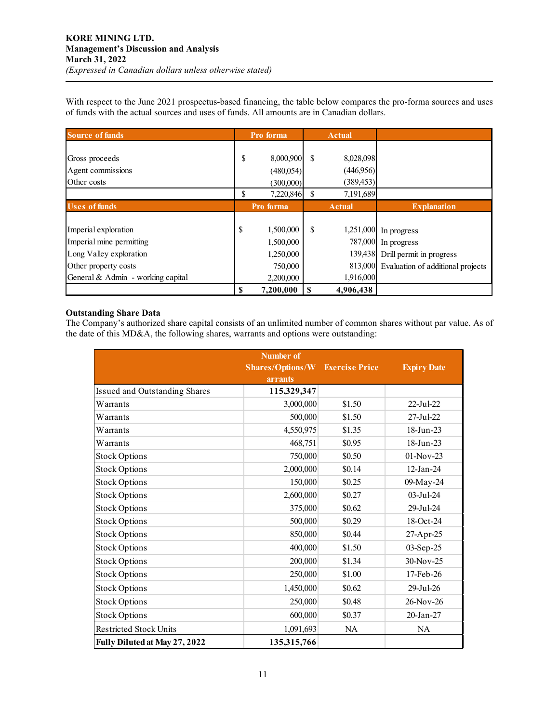With respect to the June 2021 prospectus-based financing, the table below compares the pro-forma sources and uses of funds with the actual sources and uses of funds. All amounts are in Canadian dollars.

| <b>Source of funds</b>            |    | Pro forma | <b>Actual</b>   |                                           |
|-----------------------------------|----|-----------|-----------------|-------------------------------------------|
|                                   |    |           |                 |                                           |
| Gross proceeds                    | \$ | 8,000,900 | \$<br>8,028,098 |                                           |
| Agent commissions                 |    | (480,054) | (446,956)       |                                           |
| Other costs                       |    | (300,000) | (389, 453)      |                                           |
|                                   | \$ | 7,220,846 | 7,191,689       |                                           |
| <b>Uses of funds</b>              |    | Pro forma | <b>Actual</b>   | <b>Explanation</b>                        |
|                                   |    |           |                 |                                           |
| Imperial exploration              | S  | 1,500,000 | \$              | 1,251,000 In progress                     |
| Imperial mine permitting          |    | 1,500,000 |                 | 787,000 In progress                       |
| Long Valley exploration           |    | 1,250,000 |                 | 139,438 Drill permit in progress          |
| Other property costs              |    | 750,000   |                 | 813,000 Evaluation of additional projects |
| General & Admin - working capital |    | 2,200,000 | 1,916,000       |                                           |
|                                   |    | 7,200,000 | 4,906,438       |                                           |

## **Outstanding Share Data**

The Company's authorized share capital consists of an unlimited number of common shares without par value. As of the date of this MD&A, the following shares, warrants and options were outstanding:

| <b>Number of</b>              |                  |                       |                    |  |  |  |
|-------------------------------|------------------|-----------------------|--------------------|--|--|--|
|                               | Shares/Options/W | <b>Exercise Price</b> | <b>Expiry Date</b> |  |  |  |
|                               | <b>arrants</b>   |                       |                    |  |  |  |
| Issued and Outstanding Shares | 115,329,347      |                       |                    |  |  |  |
| Warrants                      | 3,000,000        | \$1.50                | 22-Jul-22          |  |  |  |
| Warrants                      | 500,000          | \$1.50                | 27-Jul-22          |  |  |  |
| Warrants                      | 4,550,975        | \$1.35                | 18-Jun-23          |  |  |  |
| Warrants                      | 468,751          | \$0.95                | 18-Jun-23          |  |  |  |
| <b>Stock Options</b>          | 750,000          | \$0.50                | $01-Nov-23$        |  |  |  |
| <b>Stock Options</b>          | 2,000,000        | \$0.14                | $12$ -Jan-24       |  |  |  |
| <b>Stock Options</b>          | 150,000          | \$0.25                | 09-May-24          |  |  |  |
| <b>Stock Options</b>          | 2,600,000        | \$0.27                | 03-Jul-24          |  |  |  |
| <b>Stock Options</b>          | 375,000          | \$0.62                | 29-Jul-24          |  |  |  |
| <b>Stock Options</b>          | 500,000          | \$0.29                | 18-Oct-24          |  |  |  |
| <b>Stock Options</b>          | 850,000          | \$0.44                | 27-Apr-25          |  |  |  |
| <b>Stock Options</b>          | 400,000          | \$1.50                | 03-Sep-25          |  |  |  |
| <b>Stock Options</b>          | 200,000          | \$1.34                | 30-Nov-25          |  |  |  |
| <b>Stock Options</b>          | 250,000          | \$1.00                | 17-Feb-26          |  |  |  |
| <b>Stock Options</b>          | 1,450,000        | \$0.62                | 29-Jul-26          |  |  |  |
| <b>Stock Options</b>          | 250,000          | \$0.48                | $26$ -Nov-26       |  |  |  |
| <b>Stock Options</b>          | 600,000          | \$0.37                | 20-Jan-27          |  |  |  |
| <b>Restricted Stock Units</b> | 1,091,693        | <b>NA</b>             | NA                 |  |  |  |
| Fully Diluted at May 27, 2022 | 135,315,766      |                       |                    |  |  |  |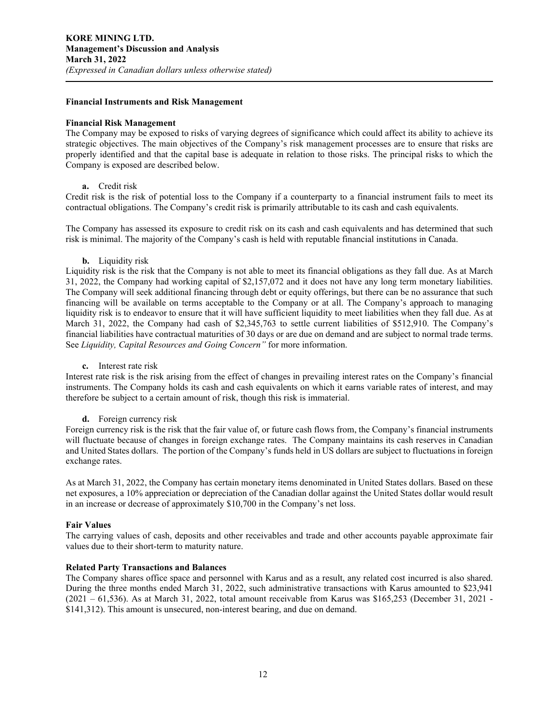#### **Financial Instruments and Risk Management**

#### **Financial Risk Management**

The Company may be exposed to risks of varying degrees of significance which could affect its ability to achieve its strategic objectives. The main objectives of the Company's risk management processes are to ensure that risks are properly identified and that the capital base is adequate in relation to those risks. The principal risks to which the Company is exposed are described below.

#### **a.** Credit risk

Credit risk is the risk of potential loss to the Company if a counterparty to a financial instrument fails to meet its contractual obligations. The Company's credit risk is primarily attributable to its cash and cash equivalents.

The Company has assessed its exposure to credit risk on its cash and cash equivalents and has determined that such risk is minimal. The majority of the Company's cash is held with reputable financial institutions in Canada.

#### **b.** Liquidity risk

Liquidity risk is the risk that the Company is not able to meet its financial obligations as they fall due. As at March 31, 2022, the Company had working capital of \$2,157,072 and it does not have any long term monetary liabilities. The Company will seek additional financing through debt or equity offerings, but there can be no assurance that such financing will be available on terms acceptable to the Company or at all. The Company's approach to managing liquidity risk is to endeavor to ensure that it will have sufficient liquidity to meet liabilities when they fall due. As at March 31, 2022, the Company had cash of \$2,345,763 to settle current liabilities of \$512,910. The Company's financial liabilities have contractual maturities of 30 days or are due on demand and are subject to normal trade terms. See *Liquidity, Capital Resources and Going Concern"* for more information.

#### **c.** Interest rate risk

Interest rate risk is the risk arising from the effect of changes in prevailing interest rates on the Company's financial instruments. The Company holds its cash and cash equivalents on which it earns variable rates of interest, and may therefore be subject to a certain amount of risk, though this risk is immaterial.

#### **d.** Foreign currency risk

Foreign currency risk is the risk that the fair value of, or future cash flows from, the Company's financial instruments will fluctuate because of changes in foreign exchange rates. The Company maintains its cash reserves in Canadian and United States dollars. The portion of the Company's funds held in US dollars are subject to fluctuations in foreign exchange rates.

As at March 31, 2022, the Company has certain monetary items denominated in United States dollars. Based on these net exposures, a 10% appreciation or depreciation of the Canadian dollar against the United States dollar would result in an increase or decrease of approximately \$10,700 in the Company's net loss.

#### **Fair Values**

The carrying values of cash, deposits and other receivables and trade and other accounts payable approximate fair values due to their short-term to maturity nature.

#### **Related Party Transactions and Balances**

The Company shares office space and personnel with Karus and as a result, any related cost incurred is also shared. During the three months ended March 31, 2022, such administrative transactions with Karus amounted to \$23,941 (2021 – 61,536). As at March 31, 2022, total amount receivable from Karus was \$165,253 (December 31, 2021 - \$141,312). This amount is unsecured, non-interest bearing, and due on demand.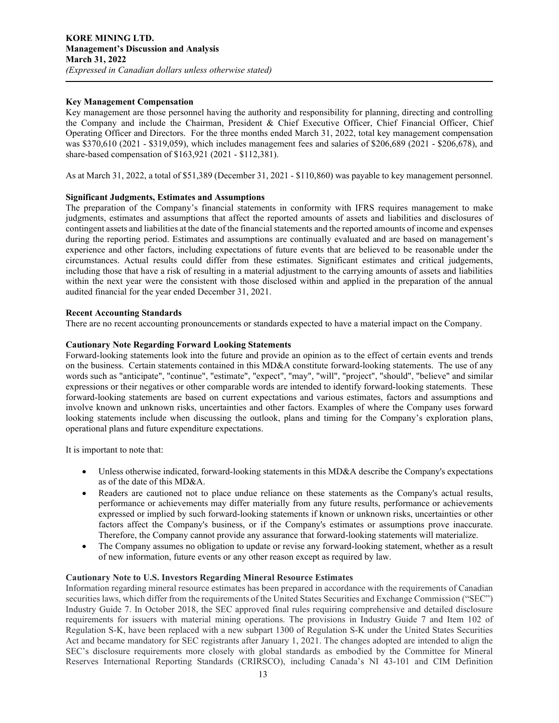#### **Key Management Compensation**

Key management are those personnel having the authority and responsibility for planning, directing and controlling the Company and include the Chairman, President & Chief Executive Officer, Chief Financial Officer, Chief Operating Officer and Directors. For the three months ended March 31, 2022, total key management compensation was \$370,610 (2021 - \$319,059), which includes management fees and salaries of \$206,689 (2021 - \$206,678), and share-based compensation of \$163,921 (2021 - \$112,381).

As at March 31, 2022, a total of \$51,389 (December 31, 2021 - \$110,860) was payable to key management personnel.

#### **Significant Judgments, Estimates and Assumptions**

The preparation of the Company's financial statements in conformity with IFRS requires management to make judgments, estimates and assumptions that affect the reported amounts of assets and liabilities and disclosures of contingent assets and liabilities at the date of the financial statements and the reported amounts of income and expenses during the reporting period. Estimates and assumptions are continually evaluated and are based on management's experience and other factors, including expectations of future events that are believed to be reasonable under the circumstances. Actual results could differ from these estimates. Significant estimates and critical judgements, including those that have a risk of resulting in a material adjustment to the carrying amounts of assets and liabilities within the next year were the consistent with those disclosed within and applied in the preparation of the annual audited financial for the year ended December 31, 2021.

#### **Recent Accounting Standards**

There are no recent accounting pronouncements or standards expected to have a material impact on the Company.

#### **Cautionary Note Regarding Forward Looking Statements**

Forward-looking statements look into the future and provide an opinion as to the effect of certain events and trends on the business. Certain statements contained in this MD&A constitute forward-looking statements. The use of any words such as "anticipate", "continue", "estimate", "expect", "may", "will", "project", "should", "believe" and similar expressions or their negatives or other comparable words are intended to identify forward-looking statements. These forward-looking statements are based on current expectations and various estimates, factors and assumptions and involve known and unknown risks, uncertainties and other factors. Examples of where the Company uses forward looking statements include when discussing the outlook, plans and timing for the Company's exploration plans, operational plans and future expenditure expectations.

It is important to note that:

- Unless otherwise indicated, forward-looking statements in this MD&A describe the Company's expectations as of the date of this MD&A.
- Readers are cautioned not to place undue reliance on these statements as the Company's actual results, performance or achievements may differ materially from any future results, performance or achievements expressed or implied by such forward-looking statements if known or unknown risks, uncertainties or other factors affect the Company's business, or if the Company's estimates or assumptions prove inaccurate. Therefore, the Company cannot provide any assurance that forward-looking statements will materialize.
- The Company assumes no obligation to update or revise any forward-looking statement, whether as a result of new information, future events or any other reason except as required by law.

#### **Cautionary Note to U.S. Investors Regarding Mineral Resource Estimates**

Information regarding mineral resource estimates has been prepared in accordance with the requirements of Canadian securities laws, which differ from the requirements of the United States Securities and Exchange Commission ("SEC") Industry Guide 7. In October 2018, the SEC approved final rules requiring comprehensive and detailed disclosure requirements for issuers with material mining operations. The provisions in Industry Guide 7 and Item 102 of Regulation S-K, have been replaced with a new subpart 1300 of Regulation S-K under the United States Securities Act and became mandatory for SEC registrants after January 1, 2021. The changes adopted are intended to align the SEC's disclosure requirements more closely with global standards as embodied by the Committee for Mineral Reserves International Reporting Standards (CRIRSCO), including Canada's NI 43-101 and CIM Definition